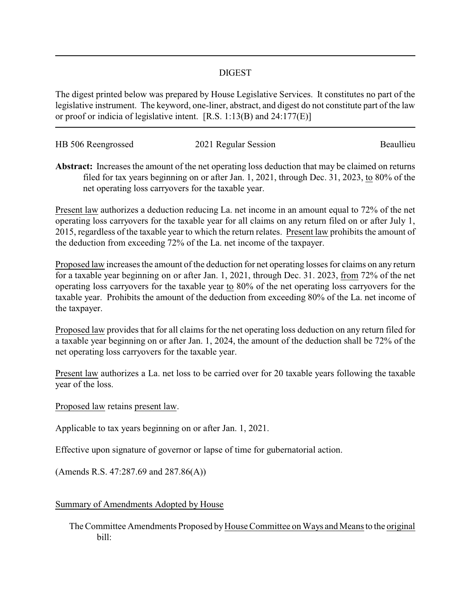## DIGEST

The digest printed below was prepared by House Legislative Services. It constitutes no part of the legislative instrument. The keyword, one-liner, abstract, and digest do not constitute part of the law or proof or indicia of legislative intent. [R.S. 1:13(B) and 24:177(E)]

| HB 506 Reengrossed | 2021 Regular Session | Beaullieu |
|--------------------|----------------------|-----------|
|                    |                      |           |

**Abstract:** Increases the amount of the net operating loss deduction that may be claimed on returns filed for tax years beginning on or after Jan. 1, 2021, through Dec. 31, 2023, to 80% of the net operating loss carryovers for the taxable year.

Present law authorizes a deduction reducing La. net income in an amount equal to 72% of the net operating loss carryovers for the taxable year for all claims on any return filed on or after July 1, 2015, regardless of the taxable year to which the return relates. Present law prohibits the amount of the deduction from exceeding 72% of the La. net income of the taxpayer.

Proposed law increases the amount of the deduction for net operating losses for claims on any return for a taxable year beginning on or after Jan. 1, 2021, through Dec. 31. 2023, from 72% of the net operating loss carryovers for the taxable year to  $80\%$  of the net operating loss carryovers for the taxable year. Prohibits the amount of the deduction from exceeding 80% of the La. net income of the taxpayer.

Proposed law provides that for all claims for the net operating loss deduction on any return filed for a taxable year beginning on or after Jan. 1, 2024, the amount of the deduction shall be 72% of the net operating loss carryovers for the taxable year.

Present law authorizes a La. net loss to be carried over for 20 taxable years following the taxable year of the loss.

Proposed law retains present law.

Applicable to tax years beginning on or after Jan. 1, 2021.

Effective upon signature of governor or lapse of time for gubernatorial action.

(Amends R.S. 47:287.69 and 287.86(A))

Summary of Amendments Adopted by House

The Committee Amendments Proposed by House Committee on Ways and Means to the original bill: